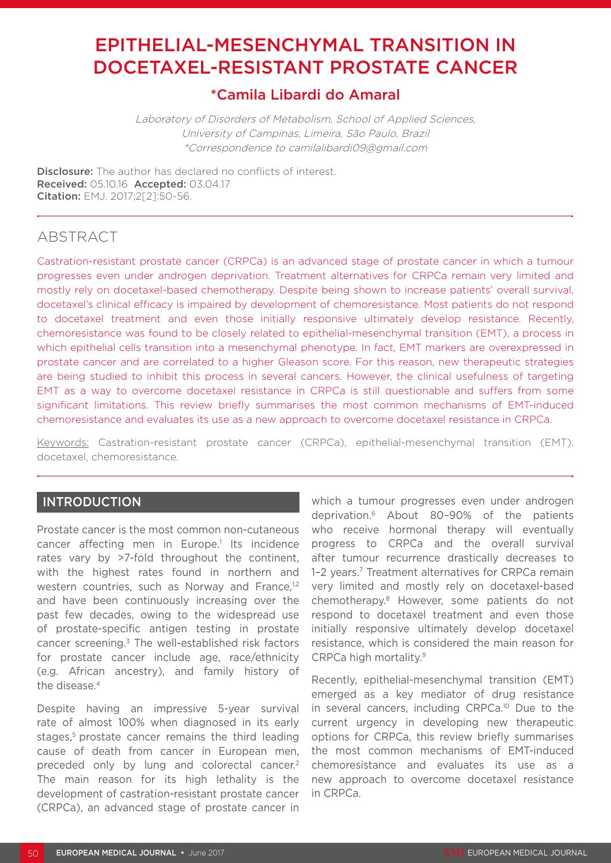# EPITHELIAL-MESENCHYMAL TRANSITION IN DOCETAXEL-RESISTANT PROSTATE CANCER

## \*Camila Libardi do Amaral

Laboratory of Disorders of Metabolism, School of Applied Sciences, University of Campinas, Limeira, São Paulo, Brazil \*Correspondence to camilalibardi09@gmail.com

**Disclosure:** The author has declared no conflicts of interest. Received: 05.10.16 Accepted: 03.04.17 Citation: EMJ. 2017;2[2]:50-56.

## ABSTRACT

Castration-resistant prostate cancer (CRPCa) is an advanced stage of prostate cancer in which a tumour progresses even under androgen deprivation. Treatment alternatives for CRPCa remain very limited and mostly rely on docetaxel-based chemotherapy. Despite being shown to increase patients' overall survival, docetaxel's clinical efficacy is impaired by development of chemoresistance. Most patients do not respond to docetaxel treatment and even those initially responsive ultimately develop resistance. Recently, chemoresistance was found to be closely related to epithelial-mesenchymal transition (EMT), a process in which epithelial cells transition into a mesenchymal phenotype. In fact, EMT markers are overexpressed in prostate cancer and are correlated to a higher Gleason score. For this reason, new therapeutic strategies are being studied to inhibit this process in several cancers. However, the clinical usefulness of targeting EMT as a way to overcome docetaxel resistance in CRPCa is still questionable and suffers from some significant limitations. This review briefly summarises the most common mechanisms of EMT-induced chemoresistance and evaluates its use as a new approach to overcome docetaxel resistance in CRPCa.

Keywords: Castration-resistant prostate cancer (CRPCa), epithelial-mesenchymal transition (EMT), docetaxel, chemoresistance.

#### INTRODUCTION

Prostate cancer is the most common non-cutaneous cancer affecting men in Europe.<sup>1</sup> Its incidence rates vary by >7-fold throughout the continent, with the highest rates found in northern and western countries, such as Norway and France,<sup>1,2</sup> and have been continuously increasing over the past few decades, owing to the widespread use of prostate-specific antigen testing in prostate cancer screening.3 The well-established risk factors for prostate cancer include age, race/ethnicity (e.g. African ancestry), and family history of the disease.4

Despite having an impressive 5-year survival rate of almost 100% when diagnosed in its early stages,<sup>5</sup> prostate cancer remains the third leading cause of death from cancer in European men, preceded only by lung and colorectal cancer.2 The main reason for its high lethality is the development of castration-resistant prostate cancer (CRPCa), an advanced stage of prostate cancer in

which a tumour progresses even under androgen deprivation.6 About 80–90% of the patients who receive hormonal therapy will eventually progress to CRPCa and the overall survival after tumour recurrence drastically decreases to 1-2 years.<sup>7</sup> Treatment alternatives for CRPCa remain very limited and mostly rely on docetaxel-based chemotherapy.8 However, some patients do not respond to docetaxel treatment and even those initially responsive ultimately develop docetaxel resistance, which is considered the main reason for CRPCa high mortality.9

Recently, epithelial-mesenchymal transition (EMT) emerged as a key mediator of drug resistance in several cancers, including CRPCa.<sup>10</sup> Due to the current urgency in developing new therapeutic options for CRPCa, this review briefly summarises the most common mechanisms of EMT-induced chemoresistance and evaluates its use as a new approach to overcome docetaxel resistance in CRPCa.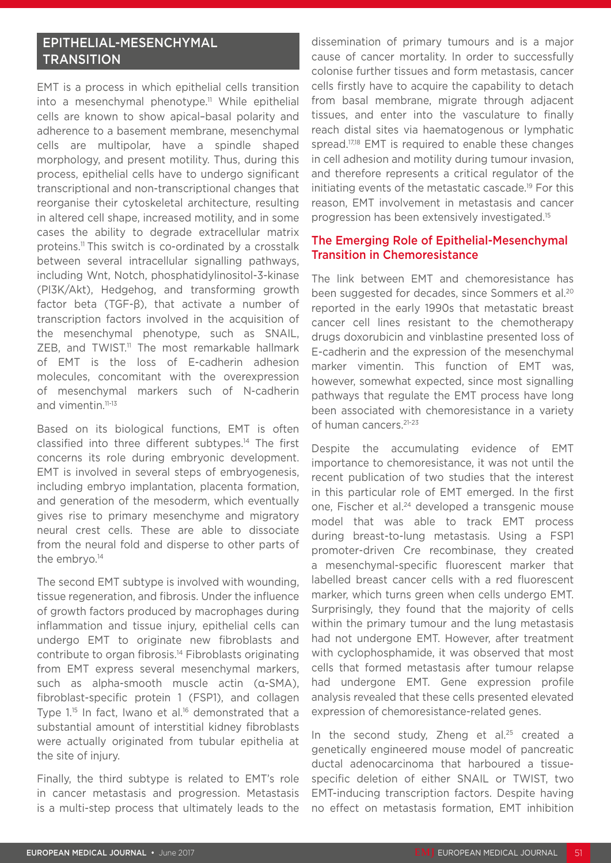## EPITHELIAL-MESENCHYMAL **TRANSITION**

EMT is a process in which epithelial cells transition into a mesenchymal phenotype.<sup>11</sup> While epithelial cells are known to show apical–basal polarity and adherence to a basement membrane, mesenchymal cells are multipolar, have a spindle shaped morphology, and present motility. Thus, during this process, epithelial cells have to undergo significant transcriptional and non-transcriptional changes that reorganise their cytoskeletal architecture, resulting in altered cell shape, increased motility, and in some cases the ability to degrade extracellular matrix proteins.11 This switch is co-ordinated by a crosstalk between several intracellular signalling pathways, including Wnt, Notch, phosphatidylinositol-3-kinase (PI3K/Akt), Hedgehog, and transforming growth factor beta (TGF-β), that activate a number of transcription factors involved in the acquisition of the mesenchymal phenotype, such as SNAIL,  $ZEB$ , and TWIST.<sup>11</sup> The most remarkable hallmark of EMT is the loss of E-cadherin adhesion molecules, concomitant with the overexpression of mesenchymal markers such of N-cadherin and vimentin.<sup>11-13</sup>

Based on its biological functions, EMT is often classified into three different subtypes.14 The first concerns its role during embryonic development. EMT is involved in several steps of embryogenesis, including embryo implantation, placenta formation, and generation of the mesoderm, which eventually gives rise to primary mesenchyme and migratory neural crest cells. These are able to dissociate from the neural fold and disperse to other parts of the embryo.<sup>14</sup>

The second EMT subtype is involved with wounding, tissue regeneration, and fibrosis. Under the influence of growth factors produced by macrophages during inflammation and tissue injury, epithelial cells can undergo EMT to originate new fibroblasts and contribute to organ fibrosis.14 Fibroblasts originating from EMT express several mesenchymal markers, such as alpha-smooth muscle actin (α-SMA), fibroblast-specific protein 1 (FSP1), and collagen Type 1.<sup>15</sup> In fact, Iwano et al.<sup>16</sup> demonstrated that a substantial amount of interstitial kidney fibroblasts were actually originated from tubular epithelia at the site of injury.

Finally, the third subtype is related to EMT's role in cancer metastasis and progression. Metastasis is a multi-step process that ultimately leads to the

dissemination of primary tumours and is a major cause of cancer mortality. In order to successfully colonise further tissues and form metastasis, cancer cells firstly have to acquire the capability to detach from basal membrane, migrate through adjacent tissues, and enter into the vasculature to finally reach distal sites via haematogenous or lymphatic spread.<sup>17,18</sup> EMT is required to enable these changes in cell adhesion and motility during tumour invasion, and therefore represents a critical regulator of the initiating events of the metastatic cascade.19 For this reason, EMT involvement in metastasis and cancer progression has been extensively investigated.15

#### The Emerging Role of Epithelial-Mesenchymal Transition in Chemoresistance

The link between EMT and chemoresistance has been suggested for decades, since Sommers et al.<sup>20</sup> reported in the early 1990s that metastatic breast cancer cell lines resistant to the chemotherapy drugs doxorubicin and vinblastine presented loss of E-cadherin and the expression of the mesenchymal marker vimentin. This function of EMT was, however, somewhat expected, since most signalling pathways that regulate the EMT process have long been associated with chemoresistance in a variety of human cancers.<sup>21-23</sup>

Despite the accumulating evidence of EMT importance to chemoresistance, it was not until the recent publication of two studies that the interest in this particular role of EMT emerged. In the first one, Fischer et al.<sup>24</sup> developed a transgenic mouse model that was able to track EMT process during breast-to-lung metastasis. Using a FSP1 promoter-driven Cre recombinase, they created a mesenchymal-specific fluorescent marker that labelled breast cancer cells with a red fluorescent marker, which turns green when cells undergo EMT. Surprisingly, they found that the majority of cells within the primary tumour and the lung metastasis had not undergone EMT. However, after treatment with cyclophosphamide, it was observed that most cells that formed metastasis after tumour relapse had undergone EMT. Gene expression profile analysis revealed that these cells presented elevated expression of chemoresistance-related genes.

In the second study. Zheng et al.<sup>25</sup> created a genetically engineered mouse model of pancreatic ductal adenocarcinoma that harboured a tissuespecific deletion of either SNAIL or TWIST, two EMT-inducing transcription factors. Despite having no effect on metastasis formation, EMT inhibition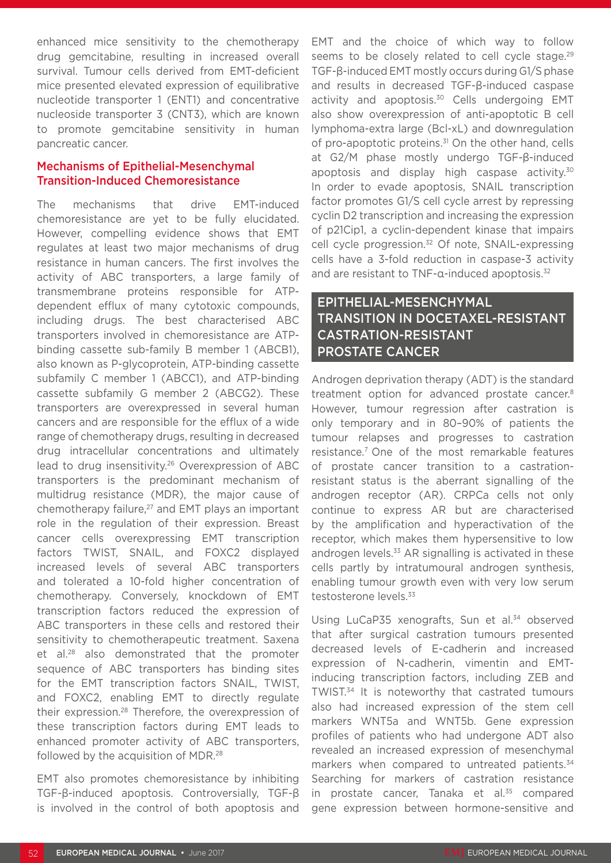enhanced mice sensitivity to the chemotherapy drug gemcitabine, resulting in increased overall survival. Tumour cells derived from EMT-deficient mice presented elevated expression of equilibrative nucleotide transporter 1 (ENT1) and concentrative nucleoside transporter 3 (CNT3), which are known to promote gemcitabine sensitivity in human pancreatic cancer.

#### Mechanisms of Epithelial-Mesenchymal Transition-Induced Chemoresistance

The mechanisms that drive EMT-induced chemoresistance are yet to be fully elucidated. However, compelling evidence shows that EMT regulates at least two major mechanisms of drug resistance in human cancers. The first involves the activity of ABC transporters, a large family of transmembrane proteins responsible for ATPdependent efflux of many cytotoxic compounds, including drugs. The best characterised ABC transporters involved in chemoresistance are ATPbinding cassette sub-family B member 1 (ABCB1), also known as P-glycoprotein, ATP-binding cassette subfamily C member 1 (ABCC1), and ATP-binding cassette subfamily G member 2 (ABCG2). These transporters are overexpressed in several human cancers and are responsible for the efflux of a wide range of chemotherapy drugs, resulting in decreased drug intracellular concentrations and ultimately lead to drug insensitivity.<sup>26</sup> Overexpression of ABC transporters is the predominant mechanism of multidrug resistance (MDR), the major cause of chemotherapy failure,<sup>27</sup> and EMT plays an important role in the regulation of their expression. Breast cancer cells overexpressing EMT transcription factors TWIST, SNAIL, and FOXC2 displayed increased levels of several ABC transporters and tolerated a 10-fold higher concentration of chemotherapy. Conversely, knockdown of EMT transcription factors reduced the expression of ABC transporters in these cells and restored their sensitivity to chemotherapeutic treatment. Saxena et al.28 also demonstrated that the promoter sequence of ABC transporters has binding sites for the EMT transcription factors SNAIL, TWIST, and FOXC2, enabling EMT to directly regulate their expression.28 Therefore, the overexpression of these transcription factors during EMT leads to enhanced promoter activity of ABC transporters, followed by the acquisition of MDR.<sup>28</sup>

EMT also promotes chemoresistance by inhibiting TGF-β-induced apoptosis. Controversially, TGF-β is involved in the control of both apoptosis and EMT and the choice of which way to follow seems to be closely related to cell cycle stage.<sup>29</sup> TGF-β-induced EMT mostly occurs during G1/S phase and results in decreased TGF-β-induced caspase activity and apoptosis.<sup>30</sup> Cells undergoing EMT also show overexpression of anti-apoptotic B cell lymphoma-extra large (Bcl-xL) and downregulation of pro-apoptotic proteins.<sup>31</sup> On the other hand, cells at G2/M phase mostly undergo TGF-β-induced apoptosis and display high caspase activity.<sup>30</sup> In order to evade apoptosis, SNAIL transcription factor promotes G1/S cell cycle arrest by repressing cyclin D2 transcription and increasing the expression of p21Cip1, a cyclin-dependent kinase that impairs cell cycle progression.<sup>32</sup> Of note, SNAIL-expressing cells have a 3-fold reduction in caspase-3 activity and are resistant to TNF-α-induced apoptosis.<sup>32</sup>

## EPITHELIAL-MESENCHYMAL TRANSITION IN DOCETAXEL-RESISTANT CASTRATION-RESISTANT PROSTATE CANCER

Androgen deprivation therapy (ADT) is the standard treatment option for advanced prostate cancer.8 However, tumour regression after castration is only temporary and in 80–90% of patients the tumour relapses and progresses to castration resistance.7 One of the most remarkable features of prostate cancer transition to a castrationresistant status is the aberrant signalling of the androgen receptor (AR). CRPCa cells not only continue to express AR but are characterised by the amplification and hyperactivation of the receptor, which makes them hypersensitive to low androgen levels. $33$  AR signalling is activated in these cells partly by intratumoural androgen synthesis, enabling tumour growth even with very low serum testosterone levels.<sup>33</sup>

Using LuCaP35 xenografts, Sun et al.<sup>34</sup> observed that after surgical castration tumours presented decreased levels of E-cadherin and increased expression of N-cadherin, vimentin and EMTinducing transcription factors, including ZEB and TWIST.34 It is noteworthy that castrated tumours also had increased expression of the stem cell markers WNT5a and WNT5b. Gene expression profiles of patients who had undergone ADT also revealed an increased expression of mesenchymal markers when compared to untreated patients.<sup>34</sup> Searching for markers of castration resistance in prostate cancer, Tanaka et al.<sup>35</sup> compared gene expression between hormone-sensitive and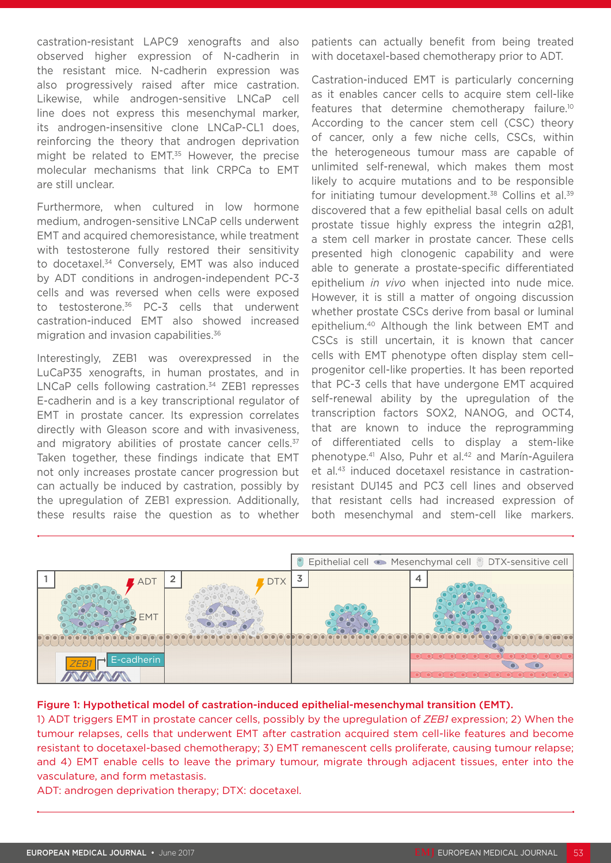castration-resistant LAPC9 xenografts and also observed higher expression of N-cadherin in the resistant mice. N-cadherin expression was also progressively raised after mice castration. Likewise, while androgen-sensitive LNCaP cell line does not express this mesenchymal marker, its androgen-insensitive clone LNCaP-CL1 does, reinforcing the theory that androgen deprivation might be related to EMT.<sup>35</sup> However, the precise molecular mechanisms that link CRPCa to EMT are still unclear.

Furthermore, when cultured in low hormone medium, androgen-sensitive LNCaP cells underwent EMT and acquired chemoresistance, while treatment with testosterone fully restored their sensitivity to docetaxel.34 Conversely, EMT was also induced by ADT conditions in androgen-independent PC-3 cells and was reversed when cells were exposed to testosterone.36 PC-3 cells that underwent castration-induced EMT also showed increased migration and invasion capabilities.<sup>36</sup>

Interestingly, ZEB1 was overexpressed in the LuCaP35 xenografts, in human prostates, and in LNCaP cells following castration.<sup>34</sup> ZEB1 represses E-cadherin and is a key transcriptional regulator of EMT in prostate cancer. Its expression correlates directly with Gleason score and with invasiveness, and migratory abilities of prostate cancer cells.<sup>37</sup> Taken together, these findings indicate that EMT not only increases prostate cancer progression but can actually be induced by castration, possibly by the upregulation of ZEB1 expression. Additionally, these results raise the question as to whether

patients can actually benefit from being treated with docetaxel-based chemotherapy prior to ADT.

Castration-induced EMT is particularly concerning as it enables cancer cells to acquire stem cell-like features that determine chemotherapy failure.10 According to the cancer stem cell (CSC) theory of cancer, only a few niche cells, CSCs, within the heterogeneous tumour mass are capable of unlimited self-renewal, which makes them most likely to acquire mutations and to be responsible for initiating tumour development.<sup>38</sup> Collins et al.<sup>39</sup> discovered that a few epithelial basal cells on adult prostate tissue highly express the integrin α2β1, a stem cell marker in prostate cancer. These cells presented high clonogenic capability and were able to generate a prostate-specific differentiated epithelium *in vivo* when injected into nude mice. However, it is still a matter of ongoing discussion whether prostate CSCs derive from basal or luminal epithelium.40 Although the link between EMT and CSCs is still uncertain, it is known that cancer cells with EMT phenotype often display stem cell– progenitor cell-like properties. It has been reported that PC-3 cells that have undergone EMT acquired self-renewal ability by the upregulation of the transcription factors SOX2, NANOG, and OCT4, that are known to induce the reprogramming of differentiated cells to display a stem-like phenotype.41 Also, Puhr et al.42 and Marín-Aguilera et al.43 induced docetaxel resistance in castrationresistant DU145 and PC3 cell lines and observed that resistant cells had increased expression of both mesenchymal and stem-cell like markers.



#### Figure 1: Hypothetical model of castration-induced epithelial-mesenchymal transition (EMT).

1) ADT triggers EMT in prostate cancer cells, possibly by the upregulation of *ZEB1* expression; 2) When the tumour relapses, cells that underwent EMT after castration acquired stem cell-like features and become resistant to docetaxel-based chemotherapy; 3) EMT remanescent cells proliferate, causing tumour relapse; and 4) EMT enable cells to leave the primary tumour, migrate through adjacent tissues, enter into the vasculature, and form metastasis.

ADT: androgen deprivation therapy; DTX: docetaxel.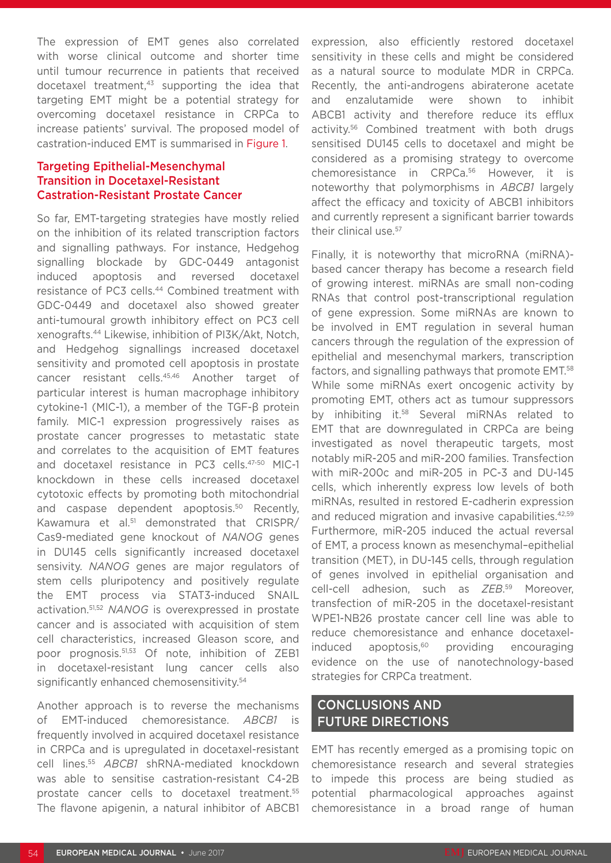The expression of EMT genes also correlated with worse clinical outcome and shorter time until tumour recurrence in patients that received docetaxel treatment,<sup>43</sup> supporting the idea that targeting EMT might be a potential strategy for overcoming docetaxel resistance in CRPCa to increase patients' survival. The proposed model of castration-induced EMT is summarised in Figure 1.

#### Targeting Epithelial-Mesenchymal Transition in Docetaxel-Resistant Castration-Resistant Prostate Cancer

So far, EMT-targeting strategies have mostly relied on the inhibition of its related transcription factors and signalling pathways. For instance, Hedgehog signalling blockade by GDC-0449 antagonist induced apoptosis and reversed docetaxel resistance of PC3 cells.<sup>44</sup> Combined treatment with GDC-0449 and docetaxel also showed greater anti-tumoural growth inhibitory effect on PC3 cell xenografts.44 Likewise, inhibition of PI3K/Akt, Notch, and Hedgehog signallings increased docetaxel sensitivity and promoted cell apoptosis in prostate cancer resistant cells.45,46 Another target of particular interest is human macrophage inhibitory cytokine-1 (MIC-1), a member of the TGF-β protein family. MIC-1 expression progressively raises as prostate cancer progresses to metastatic state and correlates to the acquisition of EMT features and docetaxel resistance in PC3 cells.47-50 MIC-1 knockdown in these cells increased docetaxel cytotoxic effects by promoting both mitochondrial and caspase dependent apoptosis.<sup>50</sup> Recently, Kawamura et al.<sup>51</sup> demonstrated that CRISPR/ Cas9-mediated gene knockout of *NANOG* genes in DU145 cells significantly increased docetaxel sensivity. *NANOG* genes are major regulators of stem cells pluripotency and positively regulate the EMT process via STAT3-induced SNAIL activation.51,52 *NANOG* is overexpressed in prostate cancer and is associated with acquisition of stem cell characteristics, increased Gleason score, and poor prognosis.51,53 Of note, inhibition of ZEB1 in docetaxel-resistant lung cancer cells also significantly enhanced chemosensitivity.<sup>54</sup>

Another approach is to reverse the mechanisms of EMT-induced chemoresistance. *ABCB1* is frequently involved in acquired docetaxel resistance in CRPCa and is upregulated in docetaxel-resistant cell lines.55 *ABCB1* shRNA-mediated knockdown was able to sensitise castration-resistant C4-2B prostate cancer cells to docetaxel treatment.55 The flavone apigenin, a natural inhibitor of ABCB1 expression, also efficiently restored docetaxel sensitivity in these cells and might be considered as a natural source to modulate MDR in CRPCa. Recently, the anti-androgens abiraterone acetate and enzalutamide were shown to inhibit ABCB1 activity and therefore reduce its efflux activity.56 Combined treatment with both drugs sensitised DU145 cells to docetaxel and might be considered as a promising strategy to overcome chemoresistance in CRPCa.56 However, it is noteworthy that polymorphisms in *ABCB1* largely affect the efficacy and toxicity of ABCB1 inhibitors and currently represent a significant barrier towards their clinical use.57

Finally, it is noteworthy that microRNA (miRNA) based cancer therapy has become a research field of growing interest. miRNAs are small non-coding RNAs that control post-transcriptional regulation of gene expression. Some miRNAs are known to be involved in EMT regulation in several human cancers through the regulation of the expression of epithelial and mesenchymal markers, transcription factors, and signalling pathways that promote EMT.58 While some miRNAs exert oncogenic activity by promoting EMT, others act as tumour suppressors by inhibiting it.<sup>58</sup> Several miRNAs related to EMT that are downregulated in CRPCa are being investigated as novel therapeutic targets, most notably miR-205 and miR-200 families. Transfection with miR-200c and miR-205 in PC-3 and DU-145 cells, which inherently express low levels of both miRNAs, resulted in restored E-cadherin expression and reduced migration and invasive capabilities.<sup>42,59</sup> Furthermore, miR-205 induced the actual reversal of EMT, a process known as mesenchymal–epithelial transition (MET), in DU-145 cells, through regulation of genes involved in epithelial organisation and cell-cell adhesion, such as *ZEB*. 59 Moreover, transfection of miR-205 in the docetaxel-resistant WPE1-NB26 prostate cancer cell line was able to reduce chemoresistance and enhance docetaxelinduced apoptosis,<sup>60</sup> providing encouraging evidence on the use of nanotechnology-based strategies for CRPCa treatment.

### CONCLUSIONS AND FUTURE DIRECTIONS

EMT has recently emerged as a promising topic on chemoresistance research and several strategies to impede this process are being studied as potential pharmacological approaches against chemoresistance in a broad range of human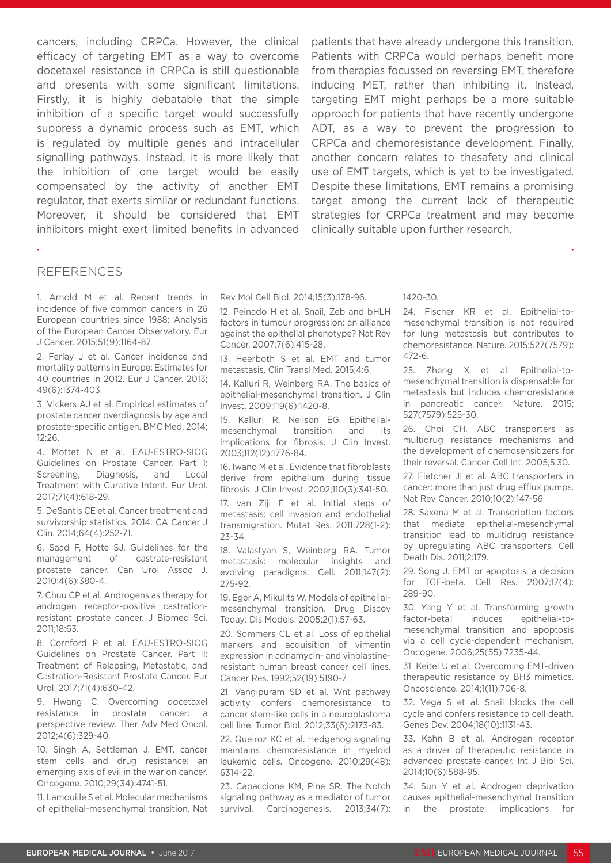cancers, including CRPCa. However, the clinical efficacy of targeting EMT as a way to overcome docetaxel resistance in CRPCa is still questionable and presents with some significant limitations. Firstly, it is highly debatable that the simple inhibition of a specific target would successfully suppress a dynamic process such as EMT, which is regulated by multiple genes and intracellular signalling pathways. Instead, it is more likely that the inhibition of one target would be easily compensated by the activity of another EMT regulator, that exerts similar or redundant functions. Moreover, it should be considered that EMT inhibitors might exert limited benefits in advanced

patients that have already undergone this transition. Patients with CRPCa would perhaps benefit more from therapies focussed on reversing EMT, therefore inducing MET, rather than inhibiting it. Instead, targeting EMT might perhaps be a more suitable approach for patients that have recently undergone ADT, as a way to prevent the progression to CRPCa and chemoresistance development. Finally, another concern relates to thesafety and clinical use of EMT targets, which is yet to be investigated. Despite these limitations, EMT remains a promising target among the current lack of therapeutic strategies for CRPCa treatment and may become clinically suitable upon further research.

#### REFERENCES

1. Arnold M et al. Recent trends in incidence of five common cancers in 26 European countries since 1988: Analysis of the European Cancer Observatory. Eur J Cancer. 2015;51(9):1164-87.

2. Ferlay J et al. Cancer incidence and mortality patterns in Europe: Estimates for 40 countries in 2012. Eur J Cancer. 2013; 49(6):1374-403.

3. Vickers AJ et al. Empirical estimates of prostate cancer overdiagnosis by age and prostate-specific antigen. BMC Med. 2014;  $12.26$ 

4. Mottet N et al. EAU-ESTRO-SIOG Guidelines on Prostate Cancer. Part 1: Screening, Diagnosis, and Local Treatment with Curative Intent. Eur Urol. 2017;71(4):618-29.

5. DeSantis CE et al. Cancer treatment and survivorship statistics, 2014. CA Cancer J Clin. 2014;64(4):252-71.

6. Saad F, Hotte SJ. Guidelines for the management of castrate-resistant prostate cancer. Can Urol Assoc J. 2010;4(6):380-4.

7. Chuu CP et al. Androgens as therapy for androgen receptor-positive castrationresistant prostate cancer. J Biomed Sci. 2011;18:63.

8. Cornford P et al. EAU-ESTRO-SIOG Guidelines on Prostate Cancer. Part II: Treatment of Relapsing, Metastatic, and Castration-Resistant Prostate Cancer. Eur Urol. 2017;71(4):630-42.

9. Hwang C. Overcoming docetaxel resistance in prostate cancer: a perspective review. Ther Adv Med Oncol. 2012;4(6):329-40.

10. Singh A, Settleman J. EMT, cancer stem cells and drug resistance: an emerging axis of evil in the war on cancer. Oncogene. 2010;29(34):4741-51.

11. Lamouille S et al. Molecular mechanisms of epithelial-mesenchymal transition. Nat Rev Mol Cell Biol. 2014;15(3):178-96.

12. Peinado H et al. Snail, Zeb and bHLH factors in tumour progression: an alliance against the epithelial phenotype? Nat Rev Cancer. 2007;7(6):415-28.

13. Heerboth S et al. EMT and tumor metastasis. Clin Transl Med. 2015;4:6.

14. Kalluri R, Weinberg RA. The basics of epithelial-mesenchymal transition. J Clin Invest. 2009;119(6):1420-8.

15. Kalluri R, Neilson EG. Epithelialmesenchymal transition and its implications for fibrosis. J Clin Invest. 2003;112(12):1776-84.

16. Iwano M et al. Evidence that fibroblasts derive from epithelium during tissue fibrosis. J Clin Invest. 2002;110(3):341-50.

17. van Zijl F et al. Initial steps of metastasis: cell invasion and endothelial transmigration. Mutat Res. 2011;728(1-2):  $27 - 74$ 

18. Valastyan S, Weinberg RA. Tumor metastasis: molecular insights and evolving paradigms. Cell. 2011;147(2): 275-92.

19. Eger A, Mikulits W. Models of epithelialmesenchymal transition. Drug Discov Today: Dis Models. 2005;2(1):57-63.

20. Sommers CL et al. Loss of epithelial markers and acquisition of vimentin expression in adriamycin- and vinblastineresistant human breast cancer cell lines. Cancer Res. 1992;52(19):5190-7.

21. Vangipuram SD et al. Wnt pathway activity confers chemoresistance to cancer stem-like cells in a neuroblastoma cell line. Tumor Biol. 2012;33(6):2173-83.

22. Queiroz KC et al. Hedgehog signaling maintains chemoresistance in myeloid leukemic cells. Oncogene. 2010;29(48): 6314-22.

23. Capaccione KM, Pine SR. The Notch signaling pathway as a mediator of tumor survival. Carcinogenesis. 2013;34(7): 1420-30.

24. Fischer KR et al. Epithelial-tomesenchymal transition is not required for lung metastasis but contributes to chemoresistance. Nature. 2015;527(7579): 472-6.

25. Zheng X et al. Epithelial-tomesenchymal transition is dispensable for metastasis but induces chemoresistance in pancreatic cancer. Nature. 2015; 527(7579):525-30.

26. Choi CH. ABC transporters as multidrug resistance mechanisms and the development of chemosensitizers for their reversal. Cancer Cell Int. 2005;5:30.

27. Fletcher JI et al. ABC transporters in cancer: more than just drug efflux pumps. Nat Rev Cancer. 2010;10(2):147-56.

28. Saxena M et al. Transcription factors that mediate epithelial-mesenchymal transition lead to multidrug resistance by upregulating ABC transporters. Cell Death Dis. 2011;2:179.

29. Song J. EMT or apoptosis: a decision for TGF-beta. Cell Res. 2007;17(4): 289-90.

30. Yang Y et al. Transforming growth factor-beta1 induces epithelial-tomesenchymal transition and apoptosis via a cell cycle-dependent mechanism. Oncogene. 2006;25(55):7235-44.

31. Keitel U et al. Overcoming EMT-driven therapeutic resistance by BH3 mimetics. Oncoscience. 2014;1(11):706-8.

32. Vega S et al. Snail blocks the cell cycle and confers resistance to cell death. Genes Dev. 2004;18(10):1131-43.

33. Kahn B et al. Androgen receptor as a driver of therapeutic resistance in advanced prostate cancer. Int J Biol Sci. 2014;10(6):588-95.

34. Sun Y et al. Androgen deprivation causes epithelial-mesenchymal transition in the prostate: implications for